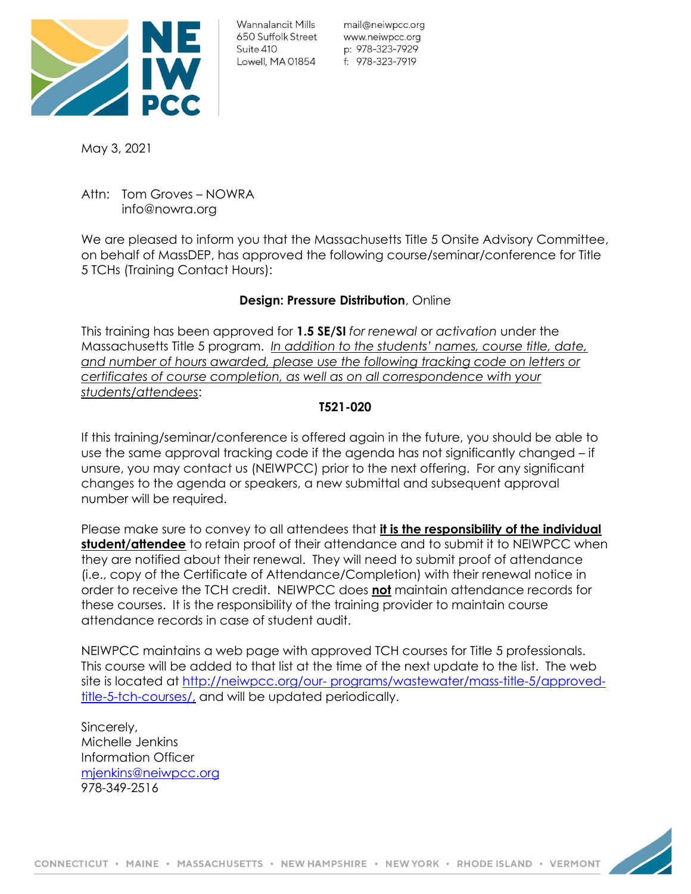

Wannalancit Mills 650 Suffolk Street Suite 410 Lowell, MA 01854

mail@neiwpcc.org www.neiwpcc.org p: 978-323-7929 f: 978-323-7919

May 3, 2021

Attn: Tom Groves – NOWRA info@nowra.org

We are pleased to inform you that the Massachusetts Title 5 Onsite Advisory Committee, on behalf of MassDEP, has approved the following course/seminar/conference for Title 5 TCHs (Training Contact Hours):

## **Design: Pressure Distribution**, Online

This training has been approved for **1.5 SE/SI** *for renewal* or *activation* under the Massachusetts Title 5 program. *In addition to the students' names, course title, date, and number of hours awarded, please use the following tracking code on letters or certificates of course completion, as well as on all correspondence with your students/attendees*:

## **T521-020**

If this training/seminar/conference is offered again in the future, you should be able to use the same approval tracking code if the agenda has not significantly changed – if unsure, you may contact us (NEIWPCC) prior to the next offering. For any significant changes to the agenda or speakers, a new submittal and subsequent approval number will be required.

Please make sure to convey to all attendees that **it is the responsibility of the individual student/attendee** to retain proof of their attendance and to submit it to NEIWPCC when they are notified about their renewal. They will need to submit proof of attendance (i.e., copy of the Certificate of Attendance/Completion) with their renewal notice in order to receive the TCH credit. NEIWPCC does **not** maintain attendance records for these courses. It is the responsibility of the training provider to maintain course attendance records in case of student audit.

NEIWPCC maintains a web page with approved TCH courses for Title 5 professionals. This course will be added to that list at the time of the next update to the list. The web site is located at [http://neiwpcc.org/our-](http://neiwpcc.org/our-programs/wastewater/mass-title-5/approved-title-5-tch-courses/) [programs/wastewater/mass-title-5/approved](http://neiwpcc.org/our-programs/wastewater/mass-title-5/approved-title-5-tch-courses/)[title-5-tch-courses/,](http://neiwpcc.org/our-programs/wastewater/mass-title-5/approved-title-5-tch-courses/) and will be updated periodically.

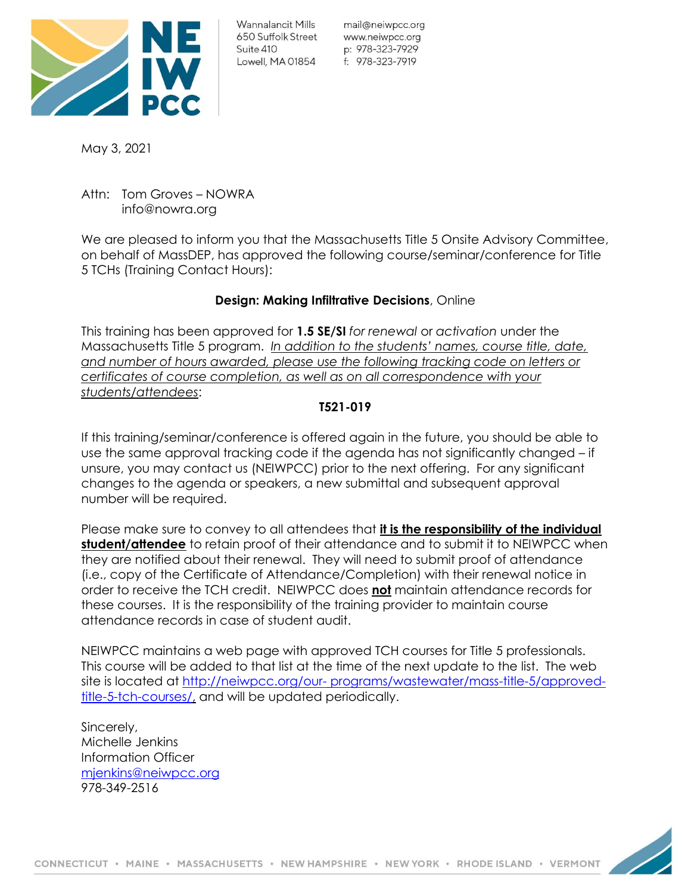

mail@neiwpcc.org www.neiwpcc.org p: 978-323-7929

May 3, 2021

Attn: Tom Groves – NOWRA info@nowra.org

We are pleased to inform you that the Massachusetts Title 5 Onsite Advisory Committee, on behalf of MassDEP, has approved the following course/seminar/conference for Title 5 TCHs (Training Contact Hours):

# **Design: Making Infiltrative Decisions**, Online

This training has been approved for **1.5 SE/SI** *for renewal* or *activation* under the Massachusetts Title 5 program. *In addition to the students' names, course title, date, and number of hours awarded, please use the following tracking code on letters or certificates of course completion, as well as on all correspondence with your students/attendees*:

## **T521-019**

If this training/seminar/conference is offered again in the future, you should be able to use the same approval tracking code if the agenda has not significantly changed – if unsure, you may contact us (NEIWPCC) prior to the next offering. For any significant changes to the agenda or speakers, a new submittal and subsequent approval number will be required.

Please make sure to convey to all attendees that **it is the responsibility of the individual student/attendee** to retain proof of their attendance and to submit it to NEIWPCC when they are notified about their renewal. They will need to submit proof of attendance (i.e., copy of the Certificate of Attendance/Completion) with their renewal notice in order to receive the TCH credit. NEIWPCC does **not** maintain attendance records for these courses. It is the responsibility of the training provider to maintain course attendance records in case of student audit.

NEIWPCC maintains a web page with approved TCH courses for Title 5 professionals. This course will be added to that list at the time of the next update to the list. The web site is located at [http://neiwpcc.org/our-](http://neiwpcc.org/our-programs/wastewater/mass-title-5/approved-title-5-tch-courses/) [programs/wastewater/mass-title-5/approved](http://neiwpcc.org/our-programs/wastewater/mass-title-5/approved-title-5-tch-courses/)[title-5-tch-courses/,](http://neiwpcc.org/our-programs/wastewater/mass-title-5/approved-title-5-tch-courses/) and will be updated periodically.

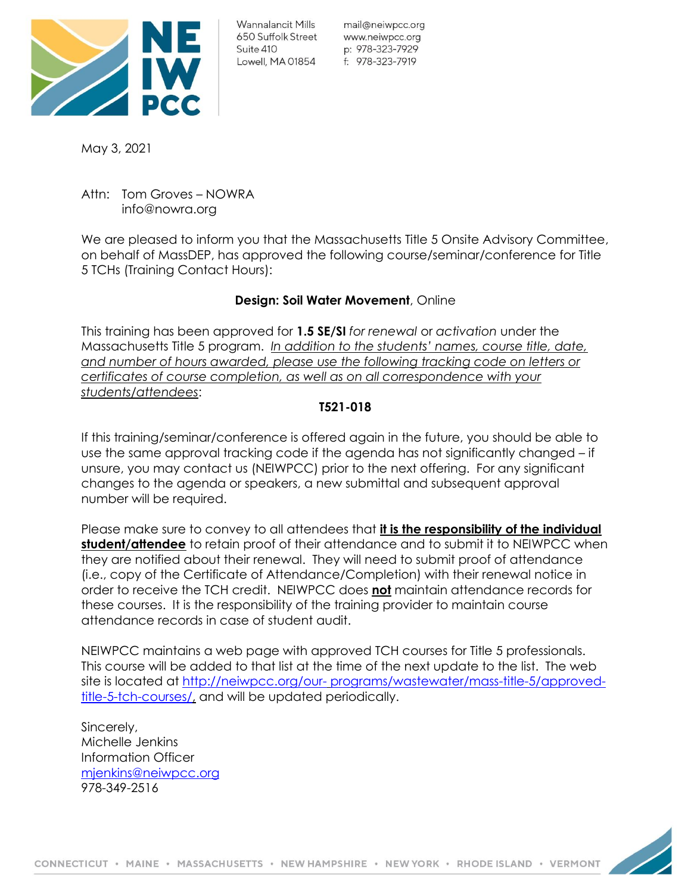

mail@neiwpcc.org www.neiwpcc.org p: 978-323-7929

May 3, 2021

Attn: Tom Groves – NOWRA info@nowra.org

We are pleased to inform you that the Massachusetts Title 5 Onsite Advisory Committee, on behalf of MassDEP, has approved the following course/seminar/conference for Title 5 TCHs (Training Contact Hours):

## **Design: Soil Water Movement**, Online

This training has been approved for **1.5 SE/SI** *for renewal* or *activation* under the Massachusetts Title 5 program. *In addition to the students' names, course title, date, and number of hours awarded, please use the following tracking code on letters or certificates of course completion, as well as on all correspondence with your students/attendees*:

## **T521-018**

If this training/seminar/conference is offered again in the future, you should be able to use the same approval tracking code if the agenda has not significantly changed – if unsure, you may contact us (NEIWPCC) prior to the next offering. For any significant changes to the agenda or speakers, a new submittal and subsequent approval number will be required.

Please make sure to convey to all attendees that **it is the responsibility of the individual student/attendee** to retain proof of their attendance and to submit it to NEIWPCC when they are notified about their renewal. They will need to submit proof of attendance (i.e., copy of the Certificate of Attendance/Completion) with their renewal notice in order to receive the TCH credit. NEIWPCC does **not** maintain attendance records for these courses. It is the responsibility of the training provider to maintain course attendance records in case of student audit.

NEIWPCC maintains a web page with approved TCH courses for Title 5 professionals. This course will be added to that list at the time of the next update to the list. The web site is located at [http://neiwpcc.org/our-](http://neiwpcc.org/our-programs/wastewater/mass-title-5/approved-title-5-tch-courses/) [programs/wastewater/mass-title-5/approved](http://neiwpcc.org/our-programs/wastewater/mass-title-5/approved-title-5-tch-courses/)[title-5-tch-courses/,](http://neiwpcc.org/our-programs/wastewater/mass-title-5/approved-title-5-tch-courses/) and will be updated periodically.

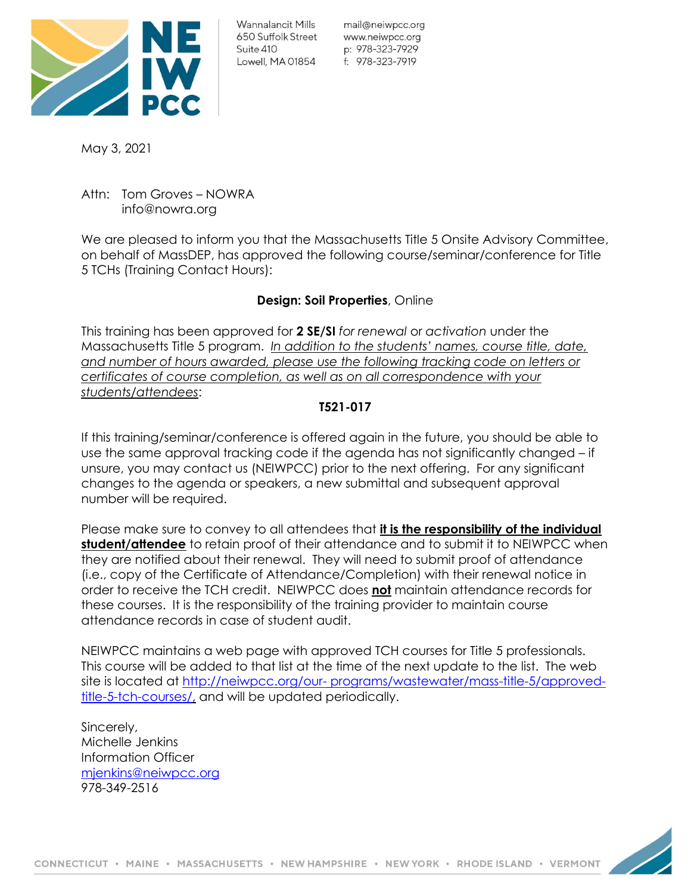

mail@neiwpcc.org www.neiwpcc.org p: 978-323-7929

May 3, 2021

Attn: Tom Groves – NOWRA info@nowra.org

We are pleased to inform you that the Massachusetts Title 5 Onsite Advisory Committee, on behalf of MassDEP, has approved the following course/seminar/conference for Title 5 TCHs (Training Contact Hours):

# **Design: Soil Properties**, Online

This training has been approved for **2 SE/SI** *for renewal* or *activation* under the Massachusetts Title 5 program. *In addition to the students' names, course title, date, and number of hours awarded, please use the following tracking code on letters or certificates of course completion, as well as on all correspondence with your students/attendees*:

# **T521-017**

If this training/seminar/conference is offered again in the future, you should be able to use the same approval tracking code if the agenda has not significantly changed – if unsure, you may contact us (NEIWPCC) prior to the next offering. For any significant changes to the agenda or speakers, a new submittal and subsequent approval number will be required.

Please make sure to convey to all attendees that **it is the responsibility of the individual student/attendee** to retain proof of their attendance and to submit it to NEIWPCC when they are notified about their renewal. They will need to submit proof of attendance (i.e., copy of the Certificate of Attendance/Completion) with their renewal notice in order to receive the TCH credit. NEIWPCC does **not** maintain attendance records for these courses. It is the responsibility of the training provider to maintain course attendance records in case of student audit.

NEIWPCC maintains a web page with approved TCH courses for Title 5 professionals. This course will be added to that list at the time of the next update to the list. The web site is located at [http://neiwpcc.org/our-](http://neiwpcc.org/our-programs/wastewater/mass-title-5/approved-title-5-tch-courses/) [programs/wastewater/mass-title-5/approved](http://neiwpcc.org/our-programs/wastewater/mass-title-5/approved-title-5-tch-courses/)[title-5-tch-courses/,](http://neiwpcc.org/our-programs/wastewater/mass-title-5/approved-title-5-tch-courses/) and will be updated periodically.

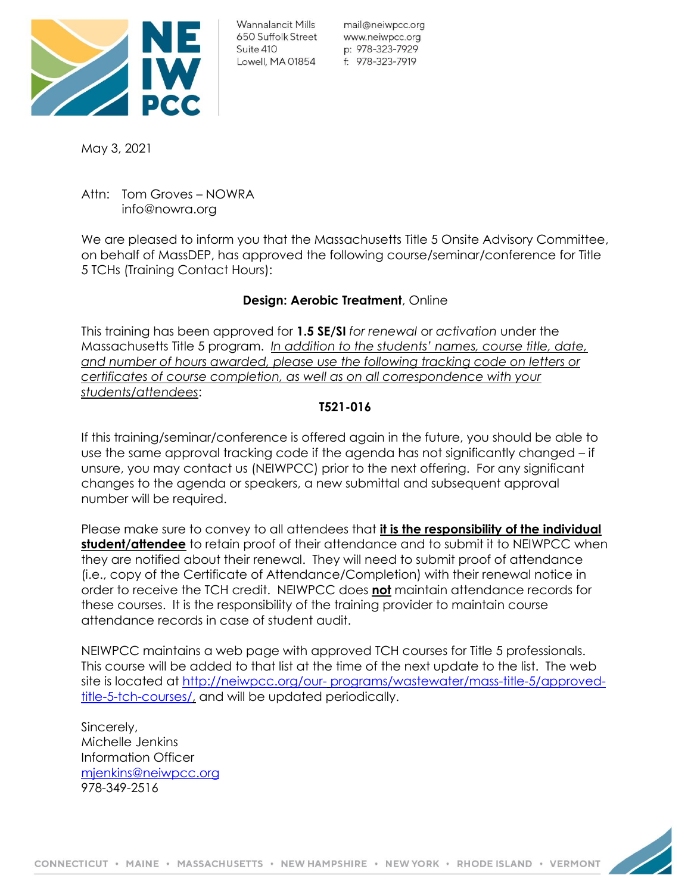

Wannalancit Mills 650 Suffolk Street Suite 410 Lowell, MA 01854

mail@neiwpcc.org www.neiwpcc.org p: 978-323-7929 f: 978-323-7919

May 3, 2021

Attn: Tom Groves – NOWRA info@nowra.org

We are pleased to inform you that the Massachusetts Title 5 Onsite Advisory Committee, on behalf of MassDEP, has approved the following course/seminar/conference for Title 5 TCHs (Training Contact Hours):

# **Design: Aerobic Treatment**, Online

This training has been approved for **1.5 SE/SI** *for renewal* or *activation* under the Massachusetts Title 5 program. *In addition to the students' names, course title, date, and number of hours awarded, please use the following tracking code on letters or certificates of course completion, as well as on all correspondence with your students/attendees*:

## **T521-016**

If this training/seminar/conference is offered again in the future, you should be able to use the same approval tracking code if the agenda has not significantly changed – if unsure, you may contact us (NEIWPCC) prior to the next offering. For any significant changes to the agenda or speakers, a new submittal and subsequent approval number will be required.

Please make sure to convey to all attendees that **it is the responsibility of the individual student/attendee** to retain proof of their attendance and to submit it to NEIWPCC when they are notified about their renewal. They will need to submit proof of attendance (i.e., copy of the Certificate of Attendance/Completion) with their renewal notice in order to receive the TCH credit. NEIWPCC does **not** maintain attendance records for these courses. It is the responsibility of the training provider to maintain course attendance records in case of student audit.

NEIWPCC maintains a web page with approved TCH courses for Title 5 professionals. This course will be added to that list at the time of the next update to the list. The web site is located at [http://neiwpcc.org/our-](http://neiwpcc.org/our-programs/wastewater/mass-title-5/approved-title-5-tch-courses/) [programs/wastewater/mass-title-5/approved](http://neiwpcc.org/our-programs/wastewater/mass-title-5/approved-title-5-tch-courses/)[title-5-tch-courses/,](http://neiwpcc.org/our-programs/wastewater/mass-title-5/approved-title-5-tch-courses/) and will be updated periodically.

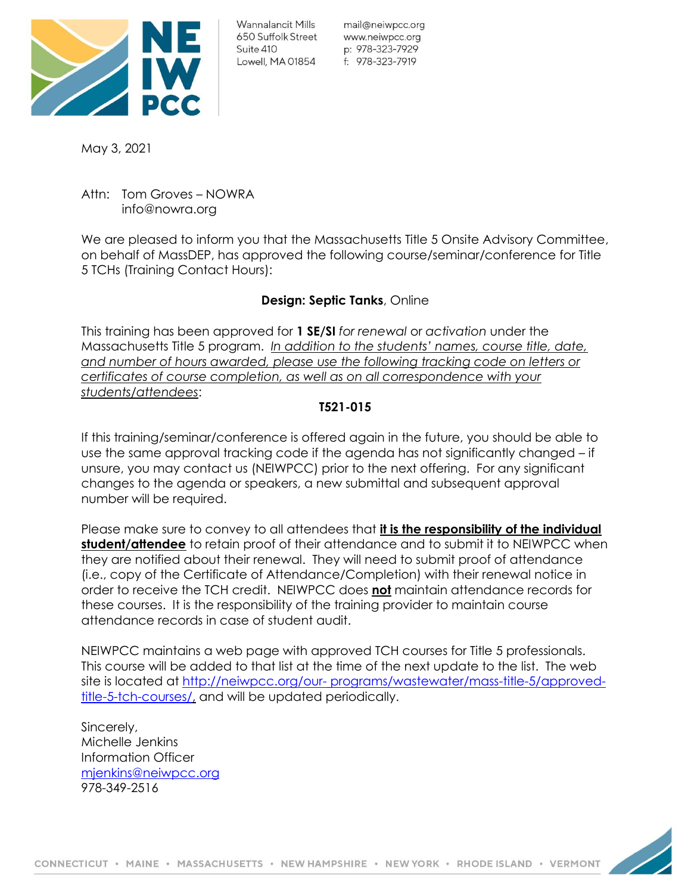

Wannalancit Mills 650 Suffolk Street Suite 410 Lowell, MA 01854

mail@neiwpcc.org www.neiwpcc.org p: 978-323-7929 f: 978-323-7919

May 3, 2021

Attn: Tom Groves – NOWRA info@nowra.org

We are pleased to inform you that the Massachusetts Title 5 Onsite Advisory Committee, on behalf of MassDEP, has approved the following course/seminar/conference for Title 5 TCHs (Training Contact Hours):

# **Design: Septic Tanks**, Online

This training has been approved for **1 SE/SI** *for renewal* or *activation* under the Massachusetts Title 5 program. *In addition to the students' names, course title, date, and number of hours awarded, please use the following tracking code on letters or certificates of course completion, as well as on all correspondence with your students/attendees*:

# **T521-015**

If this training/seminar/conference is offered again in the future, you should be able to use the same approval tracking code if the agenda has not significantly changed – if unsure, you may contact us (NEIWPCC) prior to the next offering. For any significant changes to the agenda or speakers, a new submittal and subsequent approval number will be required.

Please make sure to convey to all attendees that **it is the responsibility of the individual student/attendee** to retain proof of their attendance and to submit it to NEIWPCC when they are notified about their renewal. They will need to submit proof of attendance (i.e., copy of the Certificate of Attendance/Completion) with their renewal notice in order to receive the TCH credit. NEIWPCC does **not** maintain attendance records for these courses. It is the responsibility of the training provider to maintain course attendance records in case of student audit.

NEIWPCC maintains a web page with approved TCH courses for Title 5 professionals. This course will be added to that list at the time of the next update to the list. The web site is located at [http://neiwpcc.org/our-](http://neiwpcc.org/our-programs/wastewater/mass-title-5/approved-title-5-tch-courses/) [programs/wastewater/mass-title-5/approved](http://neiwpcc.org/our-programs/wastewater/mass-title-5/approved-title-5-tch-courses/)[title-5-tch-courses/,](http://neiwpcc.org/our-programs/wastewater/mass-title-5/approved-title-5-tch-courses/) and will be updated periodically.

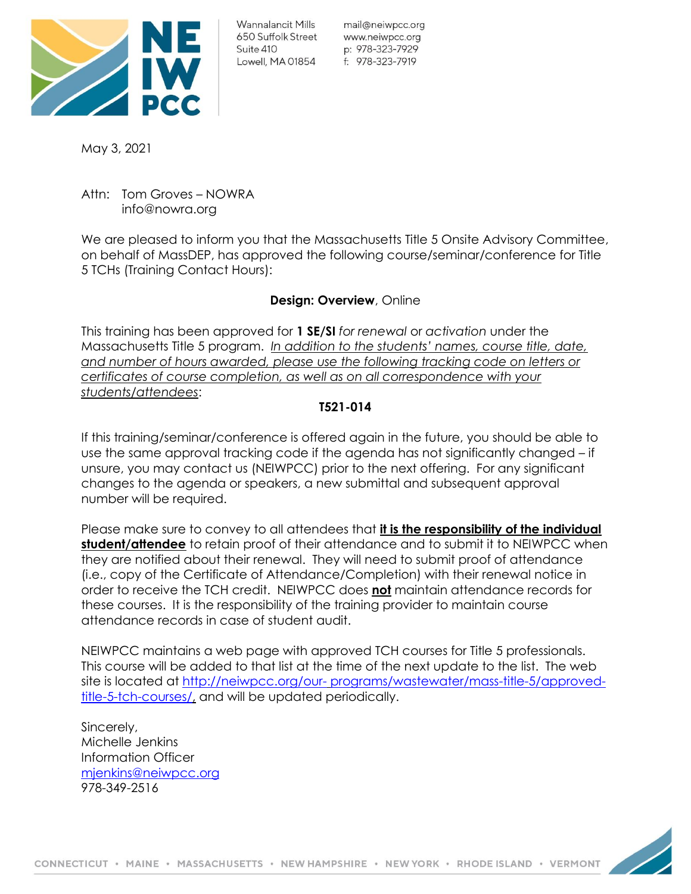

mail@neiwpcc.org www.neiwpcc.org p: 978-323-7929

May 3, 2021

Attn: Tom Groves – NOWRA info@nowra.org

We are pleased to inform you that the Massachusetts Title 5 Onsite Advisory Committee, on behalf of MassDEP, has approved the following course/seminar/conference for Title 5 TCHs (Training Contact Hours):

## **Design: Overview**, Online

This training has been approved for **1 SE/SI** *for renewal* or *activation* under the Massachusetts Title 5 program. *In addition to the students' names, course title, date, and number of hours awarded, please use the following tracking code on letters or certificates of course completion, as well as on all correspondence with your students/attendees*:

## **T521-014**

If this training/seminar/conference is offered again in the future, you should be able to use the same approval tracking code if the agenda has not significantly changed – if unsure, you may contact us (NEIWPCC) prior to the next offering. For any significant changes to the agenda or speakers, a new submittal and subsequent approval number will be required.

Please make sure to convey to all attendees that **it is the responsibility of the individual student/attendee** to retain proof of their attendance and to submit it to NEIWPCC when they are notified about their renewal. They will need to submit proof of attendance (i.e., copy of the Certificate of Attendance/Completion) with their renewal notice in order to receive the TCH credit. NEIWPCC does **not** maintain attendance records for these courses. It is the responsibility of the training provider to maintain course attendance records in case of student audit.

NEIWPCC maintains a web page with approved TCH courses for Title 5 professionals. This course will be added to that list at the time of the next update to the list. The web site is located at [http://neiwpcc.org/our-](http://neiwpcc.org/our-programs/wastewater/mass-title-5/approved-title-5-tch-courses/) [programs/wastewater/mass-title-5/approved](http://neiwpcc.org/our-programs/wastewater/mass-title-5/approved-title-5-tch-courses/)[title-5-tch-courses/,](http://neiwpcc.org/our-programs/wastewater/mass-title-5/approved-title-5-tch-courses/) and will be updated periodically.

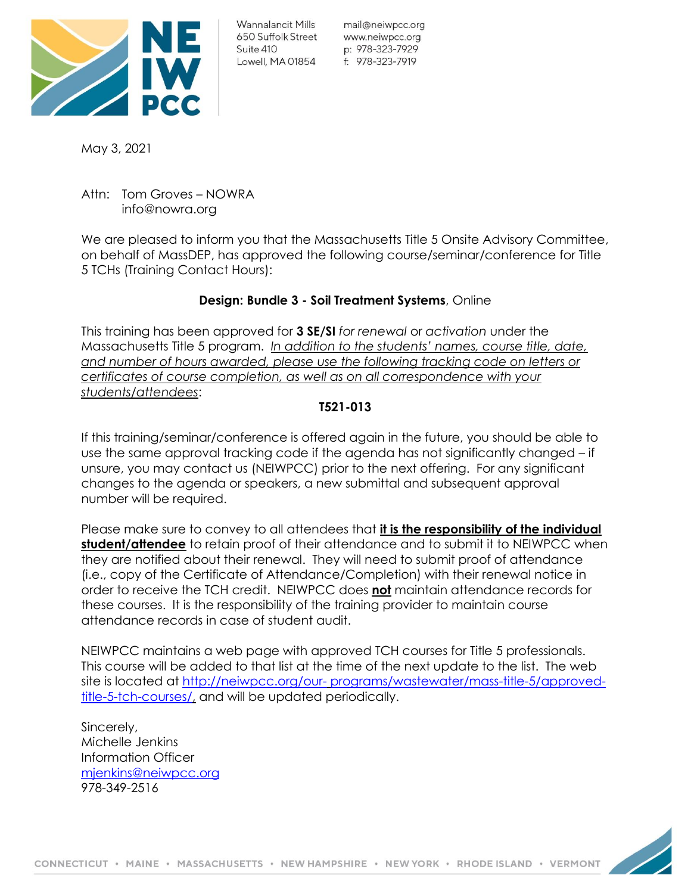

mail@neiwpcc.org www.neiwpcc.org p: 978-323-7929

May 3, 2021

Attn: Tom Groves – NOWRA info@nowra.org

We are pleased to inform you that the Massachusetts Title 5 Onsite Advisory Committee, on behalf of MassDEP, has approved the following course/seminar/conference for Title 5 TCHs (Training Contact Hours):

# **Design: Bundle 3 - Soil Treatment Systems**, Online

This training has been approved for **3 SE/SI** *for renewal* or *activation* under the Massachusetts Title 5 program. *In addition to the students' names, course title, date, and number of hours awarded, please use the following tracking code on letters or certificates of course completion, as well as on all correspondence with your students/attendees*:

## **T521-013**

If this training/seminar/conference is offered again in the future, you should be able to use the same approval tracking code if the agenda has not significantly changed – if unsure, you may contact us (NEIWPCC) prior to the next offering. For any significant changes to the agenda or speakers, a new submittal and subsequent approval number will be required.

Please make sure to convey to all attendees that **it is the responsibility of the individual student/attendee** to retain proof of their attendance and to submit it to NEIWPCC when they are notified about their renewal. They will need to submit proof of attendance (i.e., copy of the Certificate of Attendance/Completion) with their renewal notice in order to receive the TCH credit. NEIWPCC does **not** maintain attendance records for these courses. It is the responsibility of the training provider to maintain course attendance records in case of student audit.

NEIWPCC maintains a web page with approved TCH courses for Title 5 professionals. This course will be added to that list at the time of the next update to the list. The web site is located at [http://neiwpcc.org/our-](http://neiwpcc.org/our-programs/wastewater/mass-title-5/approved-title-5-tch-courses/) [programs/wastewater/mass-title-5/approved](http://neiwpcc.org/our-programs/wastewater/mass-title-5/approved-title-5-tch-courses/)[title-5-tch-courses/,](http://neiwpcc.org/our-programs/wastewater/mass-title-5/approved-title-5-tch-courses/) and will be updated periodically.

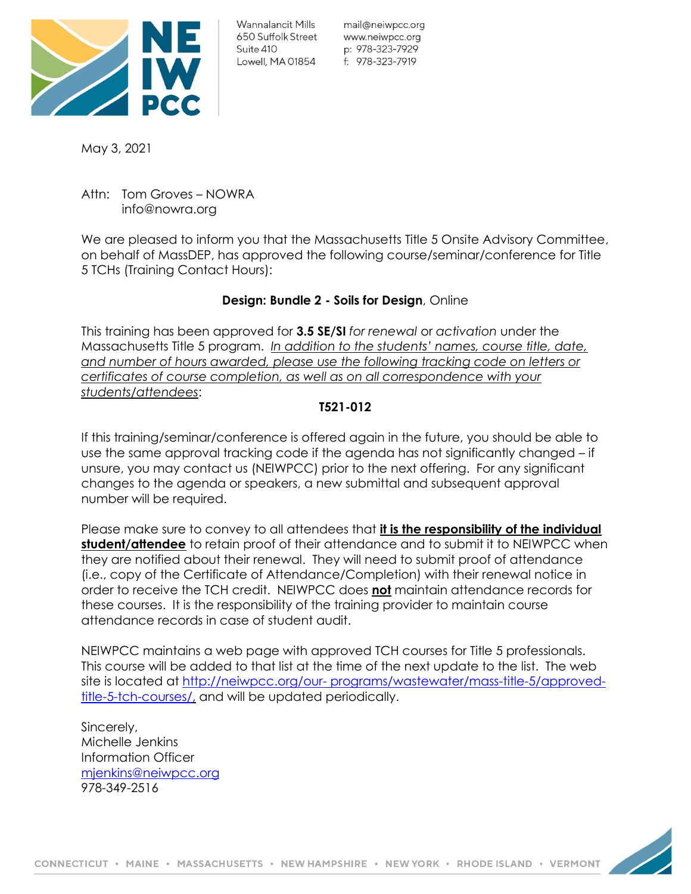

mail@neiwpcc.org www.neiwpcc.org p: 978-323-7929

May 3, 2021

Attn: Tom Groves – NOWRA info@nowra.org

We are pleased to inform you that the Massachusetts Title 5 Onsite Advisory Committee, on behalf of MassDEP, has approved the following course/seminar/conference for Title 5 TCHs (Training Contact Hours):

# **Design: Bundle 2 - Soils for Design**, Online

This training has been approved for **3.5 SE/SI** *for renewal* or *activation* under the Massachusetts Title 5 program. *In addition to the students' names, course title, date, and number of hours awarded, please use the following tracking code on letters or certificates of course completion, as well as on all correspondence with your students/attendees*:

## **T521-012**

If this training/seminar/conference is offered again in the future, you should be able to use the same approval tracking code if the agenda has not significantly changed – if unsure, you may contact us (NEIWPCC) prior to the next offering. For any significant changes to the agenda or speakers, a new submittal and subsequent approval number will be required.

Please make sure to convey to all attendees that **it is the responsibility of the individual student/attendee** to retain proof of their attendance and to submit it to NEIWPCC when they are notified about their renewal. They will need to submit proof of attendance (i.e., copy of the Certificate of Attendance/Completion) with their renewal notice in order to receive the TCH credit. NEIWPCC does **not** maintain attendance records for these courses. It is the responsibility of the training provider to maintain course attendance records in case of student audit.

NEIWPCC maintains a web page with approved TCH courses for Title 5 professionals. This course will be added to that list at the time of the next update to the list. The web site is located at [http://neiwpcc.org/our-](http://neiwpcc.org/our-programs/wastewater/mass-title-5/approved-title-5-tch-courses/) [programs/wastewater/mass-title-5/approved](http://neiwpcc.org/our-programs/wastewater/mass-title-5/approved-title-5-tch-courses/)[title-5-tch-courses/,](http://neiwpcc.org/our-programs/wastewater/mass-title-5/approved-title-5-tch-courses/) and will be updated periodically.

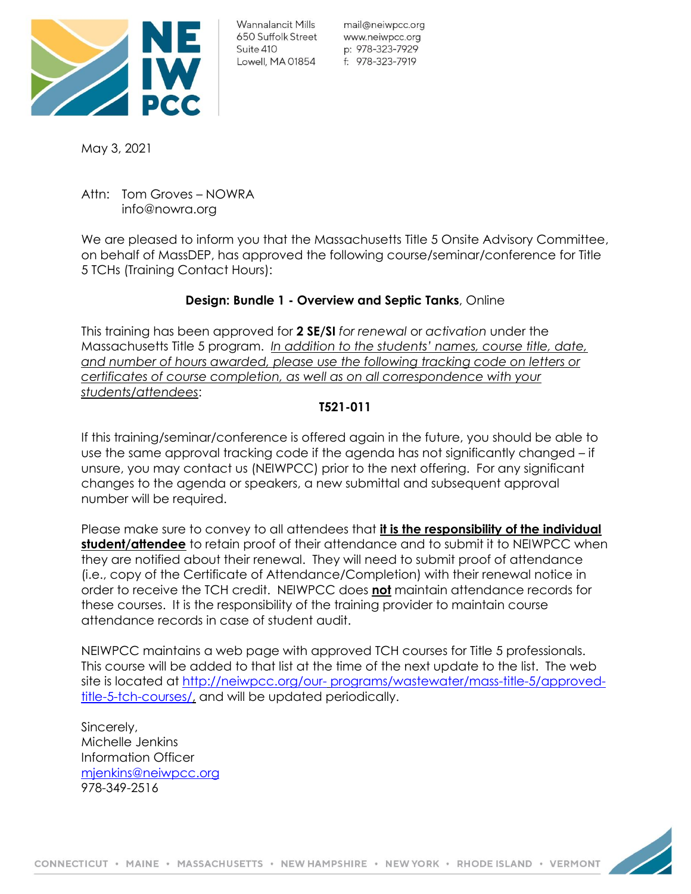

mail@neiwpcc.org www.neiwpcc.org p: 978-323-7929

May 3, 2021

Attn: Tom Groves – NOWRA info@nowra.org

We are pleased to inform you that the Massachusetts Title 5 Onsite Advisory Committee, on behalf of MassDEP, has approved the following course/seminar/conference for Title 5 TCHs (Training Contact Hours):

# **Design: Bundle 1 - Overview and Septic Tanks**, Online

This training has been approved for **2 SE/SI** *for renewal* or *activation* under the Massachusetts Title 5 program. *In addition to the students' names, course title, date, and number of hours awarded, please use the following tracking code on letters or certificates of course completion, as well as on all correspondence with your students/attendees*:

## **T521-011**

If this training/seminar/conference is offered again in the future, you should be able to use the same approval tracking code if the agenda has not significantly changed – if unsure, you may contact us (NEIWPCC) prior to the next offering. For any significant changes to the agenda or speakers, a new submittal and subsequent approval number will be required.

Please make sure to convey to all attendees that **it is the responsibility of the individual student/attendee** to retain proof of their attendance and to submit it to NEIWPCC when they are notified about their renewal. They will need to submit proof of attendance (i.e., copy of the Certificate of Attendance/Completion) with their renewal notice in order to receive the TCH credit. NEIWPCC does **not** maintain attendance records for these courses. It is the responsibility of the training provider to maintain course attendance records in case of student audit.

NEIWPCC maintains a web page with approved TCH courses for Title 5 professionals. This course will be added to that list at the time of the next update to the list. The web site is located at [http://neiwpcc.org/our-](http://neiwpcc.org/our-programs/wastewater/mass-title-5/approved-title-5-tch-courses/) [programs/wastewater/mass-title-5/approved](http://neiwpcc.org/our-programs/wastewater/mass-title-5/approved-title-5-tch-courses/)[title-5-tch-courses/,](http://neiwpcc.org/our-programs/wastewater/mass-title-5/approved-title-5-tch-courses/) and will be updated periodically.